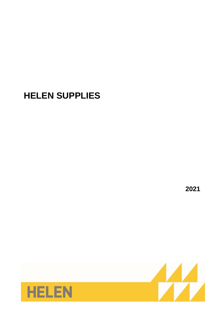# **HELEN SUPPLIES**

**2021**

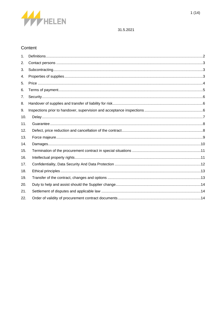

# Content

| 1.  |  |
|-----|--|
| 2.  |  |
| 3.  |  |
| 4.  |  |
| 5.  |  |
| 6.  |  |
| 7.  |  |
| 8.  |  |
| 9.  |  |
| 10. |  |
| 11. |  |
| 12. |  |
| 13. |  |
| 14. |  |
| 15. |  |
| 16. |  |
| 17. |  |
| 18. |  |
| 19. |  |
| 20. |  |
| 21. |  |
| 22. |  |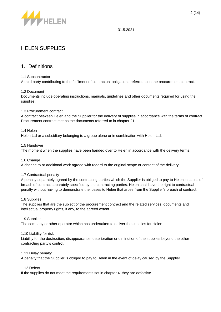

# HELEN SUPPLIES

### <span id="page-2-0"></span>1. Definitions

### 1.1 Subcontractor

A third party contributing to the fulfilment of contractual obligations referred to in the procurement contract.

### 1.2 Document

Documents include operating instructions, manuals, guidelines and other documents required for using the supplies.

#### 1.3 Procurement contract

A contract between Helen and the Supplier for the delivery of supplies in accordance with the terms of contract. Procurement contract means the documents referred to in chapter 21.

#### 1.4 Helen

Helen Ltd or a subsidiary belonging to a group alone or in combination with Helen Ltd.

#### 1.5 Handover

The moment when the supplies have been handed over to Helen in accordance with the delivery terms.

#### 1.6 Change

A change to or additional work agreed with regard to the original scope or content of the delivery.

#### 1.7 Contractual penalty

A penalty separately agreed by the contracting parties which the Supplier is obliged to pay to Helen in cases of breach of contract separately specified by the contracting parties. Helen shall have the right to contractual penalty without having to demonstrate the losses to Helen that arose from the Supplier's breach of contract.

#### 1.8 Supplies

The supplies that are the subject of the procurement contract and the related services, documents and intellectual property rights, if any, to the agreed extent.

#### 1.9 Supplier

The company or other operator which has undertaken to deliver the supplies for Helen.

#### 1.10 Liability for risk

Liability for the destruction, disappearance, deterioration or diminution of the supplies beyond the other contracting party's control.

#### 1.11 Delay penalty

A penalty that the Supplier is obliged to pay to Helen in the event of delay caused by the Supplier.

### 1.12 Defect

If the supplies do not meet the requirements set in chapter 4, they are defective.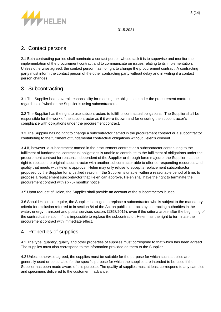

# <span id="page-3-0"></span>2. Contact persons

2.1 Both contracting parties shall nominate a contact person whose task it is to supervise and monitor the implementation of the procurement contract and to communicate on issues relating to its implementation. Unless otherwise agreed, the contact person has no right to change the procurement contract. A contracting party must inform the contact person of the other contracting party without delay and in writing if a contact person changes.

# <span id="page-3-1"></span>3. Subcontracting

3.1 The Supplier bears overall responsibility for meeting the obligations under the procurement contract, regardless of whether the Supplier is using subcontractors.

3.2 The Supplier has the right to use subcontractors to fulfill its contractual obligations. The Supplier shall be responsible for the work of the subcontractor as if it were its own and for ensuring the subcontractor's compliance with obligations under the procurement contract.

3.3 The Supplier has no right to change a subcontractor named in the procurement contract or a subcontractor contributing to the fulfilment of fundamental contractual obligations without Helen's consent.

3.4 If, however, a subcontractor named in the procurement contract or a subcontractor contributing to the fulfilment of fundamental contractual obligations is unable to contribute to the fulfilment of obligations under the procurement contract for reasons independent of the Supplier or through force majeure, the Supplier has the right to replace the original subcontractor with another subcontractor able to offer corresponding resources and quality that meets with Helen's approval. Helen may only refuse to accept a replacement subcontractor proposed by the Supplier for a justified reason. If the Supplier is unable, within a reasonable period of time, to propose a replacement subcontractor that Helen can approve, Helen shall have the right to terminate the procurement contract with six (6) months' notice.

3.5 Upon request of Helen, the Supplier shall provide an account of the subcontractors it uses.

3.6 Should Helen so require, the Supplier is obliged to replace a subcontractor who is subject to the mandatory criteria for exclusion referred to in section 84 of the Act on public contracts by contracting authorities in the water, energy, transport and postal services sectors (1398/2016), even if the criteria arose after the beginning of the contractual relation. If it is impossible to replace the subcontractor, Helen has the right to terminate the procurement contract with immediate effect.

# <span id="page-3-2"></span>4. Properties of supplies

4.1 The type, quantity, quality and other properties of supplies must correspond to that which has been agreed. The supplies must also correspond to the information provided on them to the Supplier.

4.2 Unless otherwise agreed, the supplies must be suitable for the purpose for which such supplies are generally used or be suitable for the specific purpose for which the supplies are intended to be used if the Supplier has been made aware of this purpose. The quality of supplies must at least correspond to any samples and specimens delivered to the customer in advance.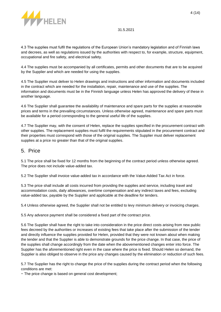

4.3 The supplies must fulfil the regulations of the European Union's mandatory legislation and of Finnish laws and decrees, as well as regulations issued by the authorities with respect to, for example, structure, equipment, occupational and fire safety, and electrical safety.

4.4 The supplies must be accompanied by all certificates, permits and other documents that are to be acquired by the Supplier and which are needed for using the supplies.

4.5 The Supplier must deliver to Helen drawings and instructions and other information and documents included in the contract which are needed for the installation, repair, maintenance and use of the supplies. The information and documents must be in the Finnish language unless Helen has approved the delivery of these in another language.

4.6 The Supplier shall guarantee the availability of maintenance and spare parts for the supplies at reasonable prices and terms in the prevailing circumstances. Unless otherwise agreed, maintenance and spare parts must be available for a period corresponding to the general useful life of the supplies.

4.7 The Supplier may, with the consent of Helen, replace the supplies specified in the procurement contract with other supplies. The replacement supplies must fulfil the requirements stipulated in the procurement contract and their properties must correspond with those of the original supplies. The Supplier must deliver replacement supplies at a price no greater than that of the original supplies.

### <span id="page-4-0"></span>5. Price

5.1 The price shall be fixed for 12 months from the beginning of the contract period unless otherwise agreed. The price does not include value-added tax.

5.2 The Supplier shall invoice value-added tax in accordance with the Value-Added Tax Act in force.

5.3 The price shall include all costs incurred from providing the supplies and service, including travel and accommodation costs, daily allowances, overtime compensation and any indirect taxes and fees, excluding value-added tax, payable by the Supplier and applicable at the deadline for tenders.

5.4 Unless otherwise agreed, the Supplier shall not be entitled to levy minimum delivery or invoicing charges.

5.5 Any advance payment shall be considered a fixed part of the contract price.

5.6 The Supplier shall have the right to take into consideration in the price direct costs arising from new public fees decreed by the authorities or increases of existing fees that take place after the submission of the tender and directly influence the supplies provided for Helen, provided that they were not known about when making the tender and that the Supplier is able to demonstrate grounds for the price change. In that case, the price of the supplies shall change accordingly from the date when the abovementioned changes enter into force. The Supplier has the aforementioned right even in the case where the price is fixed. Should Helen so demand, the Supplier is also obliged to observe in the price any changes caused by the elimination or reduction of such fees.

5.7 The Supplier has the right to change the price of the supplies during the contract period when the following conditions are met:

− The price change is based on general cost development;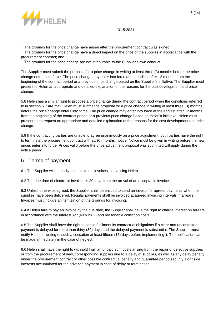

− The grounds for the price change have arisen after the procurement contract was signed;

− The grounds for the price change have a direct impact on the price of the supplies in accordance with the procurement contract; and

− The grounds for the price change are not attributable to the Supplier's own conduct.

The Supplier must submit the proposal for a price change in writing at least three (3) months before the price change enters into force. The price change may enter into force at the earliest after 12 months from the beginning of the contract period or a previous price change based on the Supplier's initiative. The Supplier must present to Helen an appropriate and detailed explanation of the reasons for the cost development and price change.

5.8 Helen has a similar right to propose a price change during the contract period when the conditions referred to in section 5.7 are met. Helen must submit the proposal for a price change in writing at least three (3) months before the price change enters into force. The price change may enter into force at the earliest after 12 months from the beginning of the contract period or a previous price change based on Helen's initiative. Helen must present upon request an appropriate and detailed explanation of the reasons for the cost development and price change.

5.9 If the contracting parties are unable to agree unanimously on a price adjustment, both parties have the right to terminate the procurement contract with six (6) months' notice. Notice must be given in writing before the new prices enter into force. Prices valid before the price adjustment proposal was submitted will apply during the notice period.

# <span id="page-5-0"></span>6. Terms of payment

6.1 The Supplier will primarily use electronic invoices in invoicing Helen.

6.2 The due date of electronic invoices is 30 days from the arrival of an acceptable invoice.

6.3 Unless otherwise agreed, the Supplier shall be entitled to send an invoice for agreed payments when the supplies have been delivered. Regular payments shall be invoiced at agreed invoicing intervals in arrears. Invoices must include an itemization of the grounds for invoicing.

6.4 If Helen fails to pay an invoice by the due date, the Supplier shall have the right to charge interest on arrears in accordance with the Interest Act (633/1982) and reasonable collection costs.

6.5 The Supplier shall have the right to cease fulfilment its contractual obligations if a clear and uncontested payment is delayed for more than thirty (30) days and the delayed payment is substantial. The Supplier must notify Helen in writing of such a cessation at least fifteen (15) days before implementing it. The notification can be made immediately in the case of neglect.

6.6 Helen shall have the right to withhold from an unpaid sum costs arising from the repair of defective supplies or from the procurement of new, corresponding supplies due to a delay of supplies, as well as any delay penalty under the procurement contract or other possible contractual penalty and guarantee period security alongside interests accumulated for the advance payment in case of delay or termination.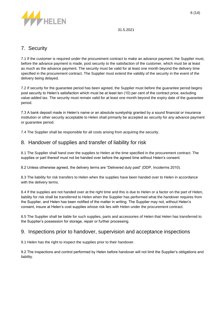

# <span id="page-6-0"></span>7. Security

7.1 If the customer is required under the procurement contract to make an advance payment, the Supplier must, before the advance payment is made, post security to the satisfaction of the customer, which must be at least as much as the advance payment. The security must be valid for at least one month beyond the delivery time specified in the procurement contract. The Supplier must extend the validity of the security in the event of the delivery being delayed.

7.2 If security for the guarantee period has been agreed, the Supplier must before the guarantee period begins post security to Helen's satisfaction which must be at least ten (10) per cent of the contract price, excluding value-added tax. The security must remain valid for at least one month beyond the expiry date of the guarantee period.

7.3 A bank deposit made in Helen's name or an absolute suretyship granted by a sound financial or insurance institution or other security acceptable to Helen shall primarily be accepted as security for any advance payment or guarantee period.

7.4 The Supplier shall be responsible for all costs arising from acquiring the security.

# <span id="page-6-1"></span>8. Handover of supplies and transfer of liability for risk

8.1 The Supplier shall hand over the supplies to Helen at the time specified in the procurement contract. The supplies or part thereof must not be handed over before the agreed time without Helen's consent.

8.2 Unless otherwise agreed, the delivery terms are "Delivered duty paid" (DDP, Incoterms 2010).

8.3 The liability for risk transfers to Helen when the supplies have been handed over to Helen in accordance with the delivery terms.

8.4 If the supplies are not handed over at the right time and this is due to Helen or a factor on the part of Helen, liability for risk shall be transferred to Helen when the Supplier has performed what the handover requires from the Supplier, and Helen has been notified of the matter in writing. The Supplier may not, without Helen's consent, insure at Helen's cost supplies whose risk lies with Helen under the procurement contract.

8.5 The Supplier shall be liable for such supplies, parts and accessories of Helen that Helen has transferred to the Supplier's possession for storage, repair or further processing.

### <span id="page-6-2"></span>9. Inspections prior to handover, supervision and acceptance inspections

9.1 Helen has the right to inspect the supplies prior to their handover.

9.2 The inspections and control performed by Helen before handover will not limit the Supplier's obligations and liability.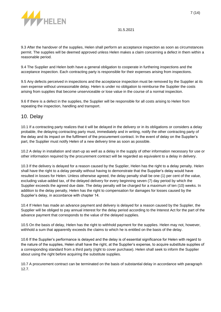

9.3 After the handover of the supplies, Helen shall perform an acceptance inspection as soon as circumstances permit. The supplies will be deemed approved unless Helen makes a claim concerning a defect in them within a reasonable period.

9.4 The Supplier and Helen both have a general obligation to cooperate in furthering inspections and the acceptance inspection. Each contracting party is responsible for their expenses arising from inspections.

9.5 Any defects perceived in inspections and the acceptance inspection must be removed by the Supplier at its own expense without unreasonable delay. Helen is under no obligation to reimburse the Supplier the costs arising from supplies that become unserviceable or lose value in the course of a normal inspection.

9.6 If there is a defect in the supplies, the Supplier will be responsible for all costs arising to Helen from repeating the inspection, handling and transport.

# <span id="page-7-0"></span>10. Delay

10.1 If a contracting party realizes that it will be delayed in the delivery or in its obligations or considers a delay probable, the delaying contracting party must, immediately and in writing, notify the other contracting party of the delay and its impact on the fulfilment of the procurement contract. In the event of delay on the Supplier's part, the Supplier must notify Helen of a new delivery time as soon as possible.

10.2 A delay in installation and start-up as well as a delay in the supply of other information necessary for use or other information required by the procurement contract will be regarded as equivalent to a delay in delivery.

10.3 If the delivery is delayed for a reason caused by the Supplier, Helen has the right to a delay penalty. Helen shall have the right to a delay penalty without having to demonstrate that the Supplier's delay would have resulted in losses for Helen. Unless otherwise agreed, the delay penalty shall be one (1) per cent of the value, excluding value-added tax, of the delayed delivery for every beginning seven (7) day period by which the Supplier exceeds the agreed due date. The delay penalty will be charged for a maximum of ten (10) weeks. In addition to the delay penalty, Helen has the right to compensation for damages for losses caused by the Supplier's delay, in accordance with chapter 14.

10.4 If Helen has made an advance payment and delivery is delayed for a reason caused by the Supplier, the Supplier will be obliged to pay annual interest for the delay period according to the Interest Act for the part of the advance payment that corresponds to the value of the delayed supplies.

10.5 On the basis of delay, Helen has the right to withhold payment for the supplies. Helen may not, however, withhold a sum that apparently exceeds the claims to which he is entitled on the basis of the delay.

10.6 If the Supplier's performance is delayed and the delay is of essential significance for Helen with regard to the nature of the supplies, Helen shall have the right, at the Supplier's expense, to acquire substitute supplies of a corresponding standard from a third party (right to cover purchase). Helen shall seek to inform the Supplier about using the right before acquiring the substitute supplies.

10.7 A procurement contract can be terminated on the basis of substantial delay in accordance with paragraph 12.7.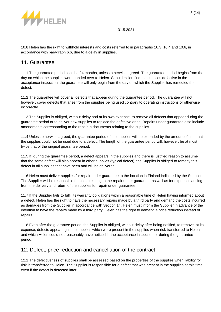

10.8 Helen has the right to withhold interests and costs referred to in paragraphs 10.3, 10.4 and 10.6, in accordance with paragraph 6.6, due to a delay in supplies.

### <span id="page-8-0"></span>11. Guarantee

11.1 The guarantee period shall be 24 months, unless otherwise agreed. The guarantee period begins from the day on which the supplies were handed over to Helen. Should Helen find the supplies defective in the acceptance inspection, the guarantee will only begin from the day on which the Supplier has remedied the defect.

11.2 The guarantee will cover all defects that appear during the guarantee period. The guarantee will not, however, cover defects that arise from the supplies being used contrary to operating instructions or otherwise incorrectly.

11.3 The Supplier is obliged, without delay and at its own expense, to remove all defects that appear during the guarantee period or to deliver new supplies to replace the defective ones. Repairs under guarantee also include amendments corresponding to the repair in documents relating to the supplies.

11.4 Unless otherwise agreed, the guarantee period of the supplies will be extended by the amount of time that the supplies could not be used due to a defect. The length of the guarantee period will, however, be at most twice that of the original guarantee period.

11.5 If, during the guarantee period, a defect appears in the supplies and there is justified reason to assume that the same defect will also appear in other supplies (typical defect), the Supplier is obliged to remedy this defect in all supplies that have been and will be delivered.

11.6 Helen must deliver supplies for repair under guarantee to the location in Finland indicated by the Supplier. The Supplier will be responsible for costs relating to the repair under guarantee as well as for expenses arising from the delivery and return of the supplies for repair under guarantee.

11.7 If the Supplier fails to fulfil its warranty obligations within a reasonable time of Helen having informed about a defect, Helen has the right to have the necessary repairs made by a third party and demand the costs incurred as damages from the Supplier in accordance with Section 14. Helen must inform the Supplier in advance of the intention to have the repairs made by a third party. Helen has the right to demand a price reduction instead of repairs.

11.8 Even after the guarantee period, the Supplier is obliged, without delay after being notified, to remove, at its expense, defects appearing in the supplies which were present in the supplies when risk transferred to Helen and which Helen could not reasonably have noticed in the acceptance inspection or during the guarantee period.

# <span id="page-8-1"></span>12. Defect, price reduction and cancellation of the contract

12.1 The defectiveness of supplies shall be assessed based on the properties of the supplies when liability for risk is transferred to Helen. The Supplier is responsible for a defect that was present in the supplies at this time, even if the defect is detected later.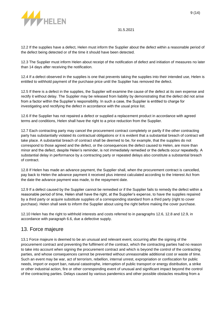

12.2 If the supplies have a defect, Helen must inform the Supplier about the defect within a reasonable period of the defect being detected or of the time it should have been detected.

12.3 The Supplier must inform Helen about receipt of the notification of defect and initiation of measures no later than 14 days after receiving the notification.

12.4 If a defect observed in the supplies is one that prevents taking the supplies into their intended use, Helen is entitled to withhold payment of the purchase price until the Supplier has removed the defect.

12.5 If there is a defect in the supplies, the Supplier will examine the cause of the defect at its own expense and rectify it without delay. The Supplier may be released from liability by demonstrating that the defect did not arise from a factor within the Supplier's responsibility. In such a case, the Supplier is entitled to charge for investigating and rectifying the defect in accordance with the usual price list.

12.6 If the Supplier has not repaired a defect or supplied a replacement product in accordance with agreed terms and conditions, Helen shall have the right to a price reduction from the Supplier.

12.7 Each contracting party may cancel the procurement contract completely or partly if the other contracting party has substantially violated its contractual obligations or it is evident that a substantial breach of contract will take place. A substantial breach of contract shall be deemed to be, for example, that the supplies do not correspond to those agreed and the defect, or the consequences the defect caused to Helen, are more than minor and the defect, despite Helen's reminder, is not immediately remedied or the defects occur repeatedly. A substantial delay in performance by a contracting party or repeated delays also constitute a substantial breach of contract.

12.8 If Helen has made an advance payment, the Supplier shall, when the procurement contract is cancelled, pay back to Helen the advance payment it received plus interest calculated according to the Interest Act from the date the advance payment was made, to the repayment date.

12.9 If a defect caused by the Supplier cannot be remedied or if the Supplier fails to remedy the defect within a reasonable period of time, Helen shall have the right, at the Supplier's expense, to have the supplies repaired by a third party or acquire substitute supplies of a corresponding standard from a third party (right to cover purchase). Helen shall seek to inform the Supplier about using the right before making the cover purchase.

12.10 Helen has the right to withhold interests and costs referred to in paragraphs 12.6, 12.8 and 12.9, in accordance with paragraph 6.6, due a defective supply.

# <span id="page-9-0"></span>13. Force majeure

13.1 Force majeure is deemed to be an unusual and relevant event, occurring after the signing of the procurement contract and preventing the fulfilment of the contract, which the contracting parties had no reason to take into account when signing the procurement contract and which is beyond the control of the contracting parties, and whose consequences cannot be prevented without unreasonable additional cost or waste of time. Such an event may be war, act of terrorism, rebellion, internal unrest, expropriation or confiscation for public needs, import or export ban, natural catastrophe, interruption of public transport or energy distribution, a strike or other industrial action, fire or other corresponding event of unusual and significant impact beyond the control of the contracting parties. Delays caused by various pandemics and other possible obstacles resulting from a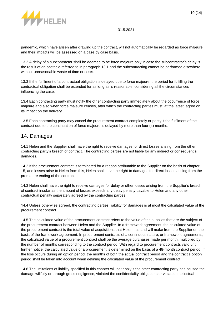

pandemic, which have arisen after drawing up the contract, will not automatically be regarded as force majeure, and their impacts will be assessed on a case by case basis.

13.2 A delay of a subcontractor shall be deemed to be force majeure only in case the subcontractor's delay is the result of an obstacle referred to in paragraph 13.1 and the subcontracting cannot be performed elsewhere without unreasonable waste of time or costs.

13.3 If the fulfilment of a contractual obligation is delayed due to force majeure, the period for fulfilling the contractual obligation shall be extended for as long as is reasonable, considering all the circumstances influencing the case.

13.4 Each contracting party must notify the other contracting party immediately about the occurrence of force majeure and also when force majeure ceases, after which the contracting parties must, at the latest, agree on its impact on the delivery.

13.5 Each contracting party may cancel the procurement contract completely or partly if the fulfilment of the contract due to the continuation of force majeure is delayed by more than four (4) months.

### <span id="page-10-0"></span>14. Damages

14.1 Helen and the Supplier shall have the right to receive damages for direct losses arising from the other contracting party's breach of contract. The contracting parties are not liable for any indirect or consequential damages.

14.2 If the procurement contract is terminated for a reason attributable to the Supplier on the basis of chapter 15, and losses arise to Helen from this, Helen shall have the right to damages for direct losses arising from the premature ending of the contract.

14.3 Helen shall have the right to receive damages for delay or other losses arising from the Supplier's breach of contract insofar as the amount of losses exceeds any delay penalty payable to Helen and any other contractual penalty separately agreed by the contracting parties.

14.4 Unless otherwise agreed, the contracting parties' liability for damages is at most the calculated value of the procurement contract.

14.5 The calculated value of the procurement contract refers to the value of the supplies that are the subject of the procurement contract between Helen and the Supplier. In a framework agreement, the calculated value of the procurement contract is the total value of acquisitions that Helen has and will make from the Supplier on the basis of the framework agreement. In procurement contracts of a continuous nature, or framework agreements, the calculated value of a procurement contract shall be the average purchases made per month, multiplied by the number of months corresponding to the contract period. With regard to procurement contracts valid until further notice, the calculated value of a procurement is determined on the basis of a 48-month contract period. If the loss occurs during an option period, the months of both the actual contract period and the contract's option period shall be taken into account when defining the calculated value of the procurement contract.

14.6 The limitations of liability specified in this chapter will not apply if the other contracting party has caused the damage willfully or through gross negligence, violated the confidentiality obligations or violated intellectual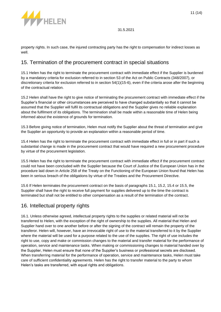

property rights. In such case, the injured contracting party has the right to compensation for indirect losses as well.

### <span id="page-11-0"></span>15. Termination of the procurement contract in special situations

15.1 Helen has the right to terminate the procurement contract with immediate effect if the Supplier is burdened by a mandatory criteria for exclusion referred to in section 53 of the Act on Public Contracts (348/2007), or discretionary criteria for exclusion referred to in section 54(1)(15-6), even if the criteria arose after the beginning of the contractual relation.

15.2 Helen shall have the right to give notice of terminating the procurement contract with immediate effect if the Supplier's financial or other circumstances are perceived to have changed substantially so that it cannot be assumed that the Supplier will fulfil its contractual obligations and the Supplier gives no reliable explanation about the fulfilment of its obligations. The termination shall be made within a reasonable time of Helen being informed about the existence of grounds for termination.

15.3 Before giving notice of termination, Helen must notify the Supplier about the threat of termination and give the Supplier an opportunity to provide an explanation within a reasonable period of time.

15.4 Helen has the right to terminate the procurement contract with immediate effect in full or in part if such a substantial change is made in the procurement contract that would have required a new procurement procedure by virtue of the procurement legislation.

15.5 Helen has the right to terminate the procurement contract with immediate effect if the procurement contract could not have been concluded with the Supplier because the Court of Justice of the European Union has in the procedure laid down in Article 258 of the Treaty on the Functioning of the European Union found that Helen has been in serious breach of the obligations by virtue of the Treaties and the Procurement Directive.

15.6 If Helen terminates the procurement contract on the basis of paragraphs 15.1, 15.2, 15.4 or 15.5, the Supplier shall have the right to receive full payment for supplies delivered up to the time the contract is terminated but shall not be entitled to other compensation as a result of the termination of the contract.

# <span id="page-11-1"></span>16. Intellectual property rights

16.1. Unless otherwise agreed, intellectual property rights to the supplies or related material will not be transferred to Helen, with the exception of the right of ownership to the supplies. All material that Helen and Supplier hand over to one another before or after the signing of the contract will remain the property of the transferor. Helen will, however, have an irrevocable right of use to the material transferred to it by the Supplier where the material will be used for a purpose related to the use of the supplies. The right of use includes the right to use, copy and make or commission changes to the material and transfer material for the performance of operation, service and maintenance tasks. When making or commissioning changes to material handed over by the Supplier, Helen must ensure that none of the Supplier's business or professional secrets are disclosed. When transferring material for the performance of operation, service and maintenance tasks, Helen must take care of sufficient confidentiality agreements. Helen has the right to transfer material to the party to whom Helen's tasks are transferred, with equal rights and obligations.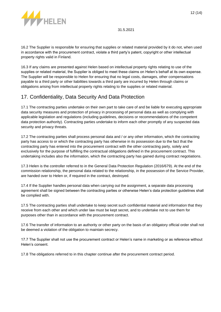

16.2 The Supplier is responsible for ensuring that supplies or related material provided by it do not, when used in accordance with the procurement contract, violate a third party's patent, copyright or other intellectual property rights valid in Finland.

16.3 If any claims are presented against Helen based on intellectual property rights relating to use of the supplies or related material, the Supplier is obliged to meet these claims on Helen's behalf at its own expense. The Supplier will be responsible to Helen for ensuring that no legal costs, damages, other compensations payable to a third party or other liabilities towards a third party are incurred by Helen through claims or obligations arising from intellectual property rights relating to the supplies or related material.

# <span id="page-12-0"></span>17. Confidentiality, Data Security And Data Protection

17.1 The contracting parties undertake on their own part to take care of and be liable for executing appropriate data security measures and protection of privacy in processing of personal data as well as complying with applicable legislation and regulations (including guidelines, decisions or recommendations of the competent data protection authority). Contracting parties undertake to inform each other promptly of any suspected data security and privacy threats.

17.2 The contracting parties shall process personal data and / or any other information, which the contracting party has access to or which the contracting party has otherwise in its possession due to the fact that the contracting party has entered into the procurement contract with the other contracting party, solely and exclusively for the purpose of fulfilling the contractual obligations defined in the procurement contract. This undertaking includes also the information, which the contracting party has gained during contract negotiations.

17.3 Helen is the controller referred to in the General Data Protection Regulation (2016/679). At the end of the commission relationship, the personal data related to the relationship, in the possession of the Service Provider, are handed over to Helen or, if required in the contract, destroyed.

17.4 If the Supplier handles personal data when carrying out the assignment, a separate data processing agreement shall be signed between the contracting parties or otherwise Helen's data protection guidelines shall be complied with.

17.5 The contracting parties shall undertake to keep secret such confidential material and information that they receive from each other and which under law must be kept secret, and to undertake not to use them for purposes other than in accordance with the procurement contract.

17.6 The transfer of information to an authority or other party on the basis of an obligatory official order shall not be deemed a violation of the obligation to maintain secrecy.

17.7 The Supplier shall not use the procurement contract or Helen's name in marketing or as reference without Helen's consent.

17.8 The obligations referred to in this chapter continue after the procurement contract period.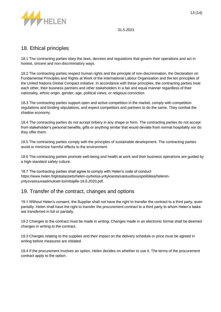

# <span id="page-13-0"></span>18. Ethical principles

18.1 The contracting parties obey the laws, decrees and regulations that govern their operations and act in honest, sincere and non-discriminatory ways.

18.2 The contracting parties respect human rights and the principle of non-discrimination, the Declaration on Fundamental Principles and Rights at Work of the International Labour Organisation and the ten principles of the United Nations Global Compact initiative. In accordance with these principles, the contracting parties treat each other, their business partners and other stakeholders in a fair and equal manner regardless of their nationality, ethnic origin, gender, age, political views, or religious conviction.

18.3 The contracting parties support open and active competition in the market, comply with competition regulations and binding stipulations, and expect competitors and partners to do the same. They combat the shadow economy.

18.4 The contracting parties do not accept bribery in any shape or form. The contracting parties do not accept from stakeholder's personal benefits, gifts or anything similar that would deviate from normal hospitality nor do they offer them.

18.5 The contracting parties comply with the principles of sustainable development. The contracting parties avoid or minimize harmful effects to the environment.

18.6 The contracting parties promote well-being and health at work and their business operations are guided by a high-standard safety culture.

18.7 The contracting parties shall agree to comply with Helen's code of conduct https://www.helen.fi/globalassets/helen-oy/tietoa-yrityksesta/vastuullisuuspolitiikka/heleninyritysvastuuvaatimukset-toimittajille-16.6.2020.pdf.

# <span id="page-13-1"></span>19. Transfer of the contract, changes and options

19.1 Without Helen's consent, the Supplier shall not have the right to transfer the contract to a third party, even partially. Helen shall have the right to transfer the procurement contract to a third party to whom Helen's tasks are transferred in full or partially.

19.2 Changes to the contract must be made in writing. Changes made in an electronic format shall be deemed changes in writing to the contract.

19.3 Changes relating to the supplies and their impact on the delivery schedule or price must be agreed in writing before measures are initiated.

19.4 If the procurement involves an option, Helen decides on whether to use it. The terms of the procurement contract apply to the option.